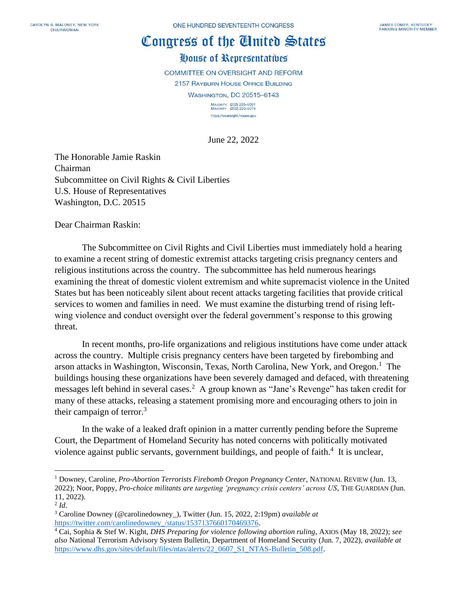## Congress of the Cluited States

## House of Representatives

COMMITTEE ON OVERSIGHT AND REFORM 2157 RAYBURN HOUSE OFFICE BUILDING

**WASHINGTON, DC 20515-6143** 

MAJORITY (202) 225-5051<br>MINORITY (202) 225-5074 https://oversight.house.gov

June 22, 2022

The Honorable Jamie Raskin Chairman Subcommittee on Civil Rights & Civil Liberties U.S. House of Representatives Washington, D.C. 20515

Dear Chairman Raskin:

The Subcommittee on Civil Rights and Civil Liberties must immediately hold a hearing to examine a recent string of domestic extremist attacks targeting crisis pregnancy centers and religious institutions across the country. The subcommittee has held numerous hearings examining the threat of domestic violent extremism and white supremacist violence in the United States but has been noticeably silent about recent attacks targeting facilities that provide critical services to women and families in need. We must examine the disturbing trend of rising leftwing violence and conduct oversight over the federal government's response to this growing threat.

In recent months, pro-life organizations and religious institutions have come under attack across the country. Multiple crisis pregnancy centers have been targeted by firebombing and arson attacks in Washington, Wisconsin, Texas, North Carolina, New York, and Oregon.<sup>1</sup> The buildings housing these organizations have been severely damaged and defaced, with threatening messages left behind in several cases.<sup>2</sup> A group known as "Jane's Revenge" has taken credit for many of these attacks, releasing a statement promising more and encouraging others to join in their campaign of terror.<sup>3</sup>

In the wake of a leaked draft opinion in a matter currently pending before the Supreme Court, the Department of Homeland Security has noted concerns with politically motivated violence against public servants, government buildings, and people of faith. $4$  It is unclear,

<sup>&</sup>lt;sup>1</sup> Downey, Caroline, *Pro-Abortion Terrorists Firebomb Oregon Pregnancy Center*, NATIONAL REVIEW (Jun. 13, 2022); Noor, Poppy, *Pro-choice militants are targeting 'pregnancy crisis centers' across US*, THE GUARDIAN (Jun. 11, 2022).

<sup>2</sup> *Id*.

<sup>3</sup> Caroline Downey (@carolinedowney\_), Twitter (Jun. 15, 2022, 2:19pm) *available at*  [https://twitter.com/carolinedowney\\_/status/1537137660170469376.](https://twitter.com/carolinedowney_/status/1537137660170469376)

<sup>4</sup> Cai, Sophia & Stef W. Kight, *DHS Preparing for violence following abortion ruling*, AXIOS (May 18, 2022); *see also* National Terrorism Advisory System Bulletin, Department of Homeland Security (Jun. 7, 2022), *available at*  [https://www.dhs.gov/sites/default/files/ntas/alerts/22\\_0607\\_S1\\_NTAS-Bulletin\\_508.pdf.](https://www.dhs.gov/sites/default/files/ntas/alerts/22_0607_S1_NTAS-Bulletin_508.pdf)